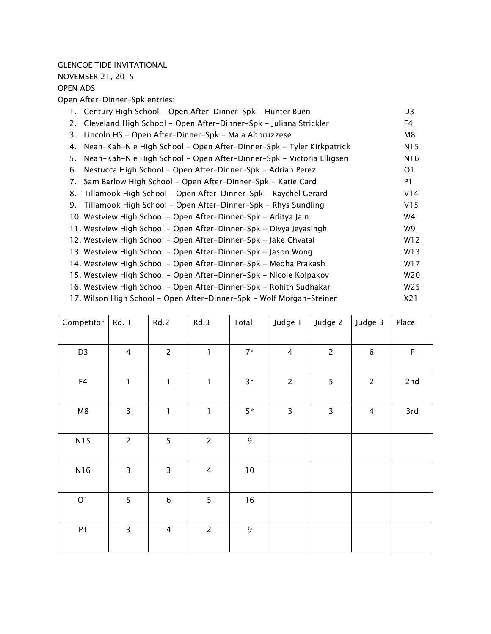#### *GLENCOE TIDE INVITATIONAL*

*NOVEMBER 21, 2015* 

## *OPEN ADS*

*Open After-Dinner-Spk entries:*

|    | 1. Century High School - Open After-Dinner-Spk - Hunter Buen            | D <sub>3</sub> |
|----|-------------------------------------------------------------------------|----------------|
|    | 2. Cleveland High School - Open After-Dinner-Spk - Juliana Strickler    | F4             |
| 3. | Lincoln HS - Open After-Dinner-Spk - Maia Abbruzzese                    | M8             |
| 4. | Neah-Kah-Nie High School - Open After-Dinner-Spk - Tyler Kirkpatrick    | N15            |
|    | 5. Neah-Kah-Nie High School - Open After-Dinner-Spk - Victoria Elligsen | N16            |
| 6. | Nestucca High School - Open After-Dinner-Spk - Adrian Perez             | O1             |
| 7. | Sam Barlow High School - Open After-Dinner-Spk - Katie Card             | P1             |
|    | 8. Tillamook High School - Open After-Dinner-Spk - Raychel Gerard       | V14            |
|    | 9. Tillamook High School - Open After-Dinner-Spk - Rhys Sundling        | V15            |
|    | 10. Westview High School - Open After-Dinner-Spk - Aditya Jain          | W4             |
|    | 11. Westview High School - Open After-Dinner-Spk - Divya Jeyasingh      | W9             |
|    | 12. Westview High School - Open After-Dinner-Spk - Jake Chvatal         | W12            |
|    | 13. Westview High School - Open After-Dinner-Spk - Jason Wong           | W13            |
|    | 14. Westview High School - Open After-Dinner-Spk - Medha Prakash        | W17            |
|    | 15. Westview High School - Open After-Dinner-Spk - Nicole Kolpakov      | W20            |
|    | 16. Westview High School - Open After-Dinner-Spk - Rohith Sudhakar      | W25            |
|    | 17. Wilson High School - Open After-Dinner-Spk - Wolf Morgan-Steiner    | X21            |

| Competitor     | Rd. 1          | Rd.2           | Rd.3           | Total       | Judge 1                 | Judge 2                 | Judge 3        | Place       |
|----------------|----------------|----------------|----------------|-------------|-------------------------|-------------------------|----------------|-------------|
| D <sub>3</sub> | 4              | $\overline{c}$ | $\mathbf{I}$   | $7*$        | $\overline{4}$          | $\overline{2}$          | 6              | $\mathsf F$ |
| F4             | 1              | 1              | 1              | $3*$        | $\overline{c}$          | 5                       | $\overline{2}$ | 2nd         |
| M8             | $\overline{3}$ | $\mathbf{I}$   | $\mathbf{I}$   | $5*$        | $\overline{\mathbf{3}}$ | $\overline{\mathbf{3}}$ | $\overline{4}$ | 3rd         |
| N15            | $\overline{2}$ | 5              | $\overline{c}$ | $\mathsf 9$ |                         |                         |                |             |
| N16            | 3              | 3              | $\overline{4}$ | $10\,$      |                         |                         |                |             |
| O1             | 5              | $\,$ 6 $\,$    | 5              | 16          |                         |                         |                |             |
| P1             | 3              | 4              | $\overline{2}$ | $\mathsf 9$ |                         |                         |                |             |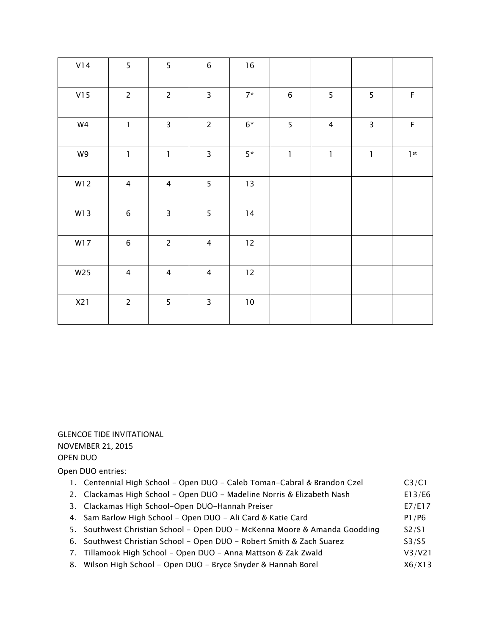| V14 | 5                                     | 5                                     | $\,$ 6 $\,$             | $16$   |              |                |                |             |
|-----|---------------------------------------|---------------------------------------|-------------------------|--------|--------------|----------------|----------------|-------------|
| V15 | $\overline{2}$                        | $\overline{2}$                        | $\overline{\mathbf{3}}$ | $7^*$  | $\,6\,$      | 5              | 5              | $\mathsf F$ |
| W4  | $\mathbf{1}$                          | 3                                     | $\overline{2}$          | $6^*$  | 5            | $\overline{4}$ | $\overline{3}$ | $\mathsf F$ |
| W9  | $\begin{array}{c} \hline \end{array}$ | $\begin{array}{c} \hline \end{array}$ | $\overline{\mathbf{3}}$ | $5*$   | $\mathbf{1}$ | $\mathbf 1$    | $\mathbf{I}$   | $1$ st      |
| W12 | $\overline{4}$                        | $\overline{4}$                        | 5                       | $13$   |              |                |                |             |
| W13 | $\,$ 6 $\,$                           | $\mathsf{3}$                          | 5                       | 14     |              |                |                |             |
| W17 | $\,$ 6 $\,$                           | $\overline{c}$                        | $\overline{4}$          | $12\,$ |              |                |                |             |
| W25 | $\overline{4}$                        | $\overline{4}$                        | $\overline{4}$          | 12     |              |                |                |             |
| X21 | $\overline{2}$                        | 5                                     | $\mathsf{3}$            | $10\,$ |              |                |                |             |

# GLENCOE TIDE INVITATIONAL NOVEMBER 21, 2015 OPEN DUO

*Open DUO entries:*

| 1. Centennial High School - Open DUO - Caleb Toman-Cabral & Brandon Czel | C3/C1  |
|--------------------------------------------------------------------------|--------|
| 2. Clackamas High School – Open DUO – Madeline Norris & Elizabeth Nash   | E13/E6 |
| 3. Clackamas High School-Open DUO-Hannah Preiser                         | E7/E17 |

- 4. Sam Barlow High School Open DUO Ali Card & Katie Card **P1/P6 P1/P6**
- 5. Southwest Christian School Open DUO McKenna Moore & Amanda Goodding S2/S1
- *6. Southwest Christian School Open DUO Robert Smith & Zach Suarez S3/S5*
- *7.* **Tillamook High School Open DUO Anna Mattson & Zak Zwald V3/V21**
- 8. Wilson High School Open DUO Bryce Snyder & Hannah Borel X6/X13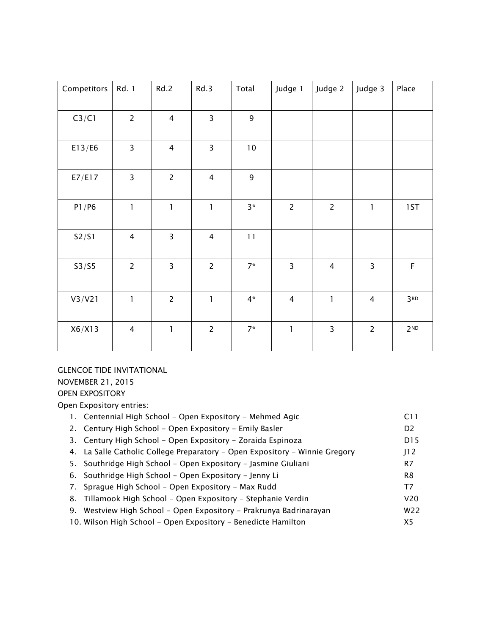| Competitors | Rd. 1          | Rd.2                    | Rd.3                                  | Total          | Judge 1        | Judge 2        | Judge 3        | Place           |
|-------------|----------------|-------------------------|---------------------------------------|----------------|----------------|----------------|----------------|-----------------|
| C3/C1       | $\overline{2}$ | $\overline{4}$          | $\overline{3}$                        | $\overline{9}$ |                |                |                |                 |
| E13/E6      | $\overline{3}$ | $\overline{4}$          | $\overline{3}$                        | $10\,$         |                |                |                |                 |
| E7/E17      | $\overline{3}$ | $\overline{2}$          | $\overline{4}$                        | $\mathsf g$    |                |                |                |                 |
| P1/P6       | $\mathbf{I}$   | $\mathbf{1}$            | $\begin{array}{c} \hline \end{array}$ | $3*$           | $\overline{2}$ | $\overline{2}$ | $\mathbf{I}$   | 1ST             |
| S2/S1       | $\overline{4}$ | $\overline{\mathbf{3}}$ | $\overline{\mathbf{4}}$               | 11             |                |                |                |                 |
| S3/S5       | $\overline{2}$ | $\overline{3}$          | $\overline{2}$                        | $7*$           | $\overline{3}$ | $\overline{4}$ | $\overline{3}$ | $\mathsf F$     |
| V3/V21      | $\mathbf{I}$   | $\overline{2}$          | $\mathbf{I}$                          | $4*$           | $\overline{4}$ | $\mathbf{I}$   | $\overline{4}$ | 3 <sub>RD</sub> |
| X6/X13      | $\overline{4}$ | $\mathbf{I}$            | $\overline{c}$                        | $7*$           | $\mathbf{1}$   | $\overline{3}$ | $\overline{c}$ | 2 <sub>ND</sub> |

# *GLENCOE TIDE INVITATIONAL*

*NOVEMBER 21, 2015* 

*OPEN EXPOSITORY Open Expository entries:*

| 1. Centennial High School – Open Expository – Mehmed Agic                   | C <sub>1</sub>  |
|-----------------------------------------------------------------------------|-----------------|
| 2. Century High School - Open Expository - Emily Basler                     | D <sub>2</sub>  |
| 3. Century High School - Open Expository - Zoraida Espinoza                 | D <sub>15</sub> |
| 4. La Salle Catholic College Preparatory – Open Expository – Winnie Gregory | J12             |
| 5. Southridge High School - Open Expository - Jasmine Giuliani              | R7              |
| 6. Southridge High School - Open Expository - Jenny Li                      | R <sub>8</sub>  |
| 7. Sprague High School - Open Expository - Max Rudd                         | T7              |
| 8. Tillamook High School – Open Expository – Stephanie Verdin               | V <sub>20</sub> |
| 9. Westview High School - Open Expository - Prakrunya Badrinarayan          | W <sub>22</sub> |
| 10. Wilson High School - Open Expository - Benedicte Hamilton               | X5              |
|                                                                             |                 |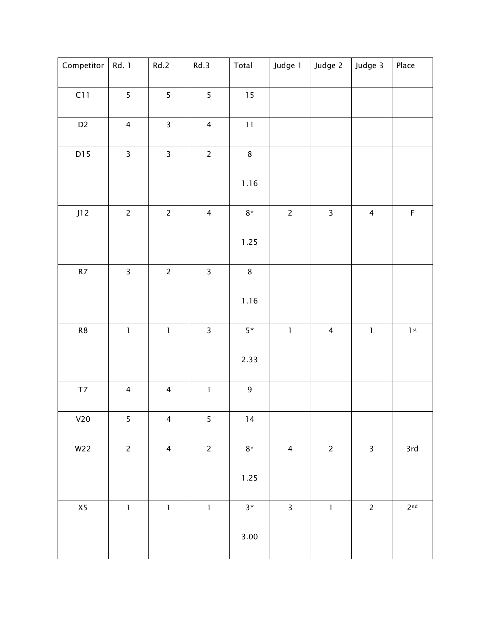| Competitor                       | Rd. 1                   | Rd.2                                      | Rd.3                    | Total       | Judge 1                                                                                                                                                                                                                                                                                                                                                                                                        | Judge 2                 | Judge 3                               | Place           |
|----------------------------------|-------------------------|-------------------------------------------|-------------------------|-------------|----------------------------------------------------------------------------------------------------------------------------------------------------------------------------------------------------------------------------------------------------------------------------------------------------------------------------------------------------------------------------------------------------------------|-------------------------|---------------------------------------|-----------------|
| C11                              | $\overline{5}$          | $\overline{5}$                            | $\overline{5}$          | $15$        |                                                                                                                                                                                                                                                                                                                                                                                                                |                         |                                       |                 |
| D <sub>2</sub>                   | $\overline{4}$          | $\overline{\mathbf{3}}$                   | $\overline{4}$          | $11\,$      |                                                                                                                                                                                                                                                                                                                                                                                                                |                         |                                       |                 |
| D15                              | $\overline{\mathbf{3}}$ | $\overline{\mathbf{3}}$                   | $\overline{c}$          | $\bf 8$     |                                                                                                                                                                                                                                                                                                                                                                                                                |                         |                                       |                 |
|                                  |                         |                                           |                         | 1.16        |                                                                                                                                                                                                                                                                                                                                                                                                                |                         |                                       |                 |
| J12                              | $\overline{c}$          | $\overline{c}$                            | $\overline{4}$          | $8^\star$   | $\overline{c}$                                                                                                                                                                                                                                                                                                                                                                                                 | $\mathsf{3}$            | $\overline{4}$                        | $\mathsf F$     |
|                                  |                         |                                           |                         | 1.25        |                                                                                                                                                                                                                                                                                                                                                                                                                |                         |                                       |                 |
| $\ensuremath{\mathsf{R}}\xspace$ | $\overline{\mathbf{3}}$ | $\overline{2}$                            | $\overline{\mathbf{3}}$ | $\bf 8$     |                                                                                                                                                                                                                                                                                                                                                                                                                |                         |                                       |                 |
|                                  |                         |                                           |                         | 1.16        |                                                                                                                                                                                                                                                                                                                                                                                                                |                         |                                       |                 |
| ${\sf R8}$                       | $\mathbf{l}$            | $\begin{array}{c} \mathbf{1} \end{array}$ | $\mathsf{3}$            | $5^{\star}$ | $\begin{array}{c} \rule{0pt}{2ex} \rule{0pt}{2ex} \rule{0pt}{2ex} \rule{0pt}{2ex} \rule{0pt}{2ex} \rule{0pt}{2ex} \rule{0pt}{2ex} \rule{0pt}{2ex} \rule{0pt}{2ex} \rule{0pt}{2ex} \rule{0pt}{2ex} \rule{0pt}{2ex} \rule{0pt}{2ex} \rule{0pt}{2ex} \rule{0pt}{2ex} \rule{0pt}{2ex} \rule{0pt}{2ex} \rule{0pt}{2ex} \rule{0pt}{2ex} \rule{0pt}{2ex} \rule{0pt}{2ex} \rule{0pt}{2ex} \rule{0pt}{2ex} \rule{0pt}{$ | $\overline{\mathbf{4}}$ | $\begin{array}{c} \hline \end{array}$ | 1 <sup>st</sup> |
|                                  |                         |                                           |                         | 2.33        |                                                                                                                                                                                                                                                                                                                                                                                                                |                         |                                       |                 |
| $\mathsf{T} \mathsf{7}$          | $\overline{4}$          | $\overline{4}$                            | $\mathbf{I}$            | $\mathsf 9$ |                                                                                                                                                                                                                                                                                                                                                                                                                |                         |                                       |                 |
| V20                              | 5                       | 4                                         | 5                       | 14          |                                                                                                                                                                                                                                                                                                                                                                                                                |                         |                                       |                 |
| W22                              | $\overline{2}$          | $\overline{4}$                            | $\overline{c}$          | $8^\star$   | $\overline{\mathbf{4}}$                                                                                                                                                                                                                                                                                                                                                                                        | $\overline{c}$          | $\mathsf{3}$                          | 3rd             |
|                                  |                         |                                           |                         | 1.25        |                                                                                                                                                                                                                                                                                                                                                                                                                |                         |                                       |                 |
| X5                               | $\mathbf{1}$            | $\mathbf 1$                               | $\mathbf{1}$            | $3*$        | $\overline{\mathbf{3}}$                                                                                                                                                                                                                                                                                                                                                                                        | $\mathbf{1}$            | $\overline{c}$                        | 2 <sup>nd</sup> |
|                                  |                         |                                           |                         | 3.00        |                                                                                                                                                                                                                                                                                                                                                                                                                |                         |                                       |                 |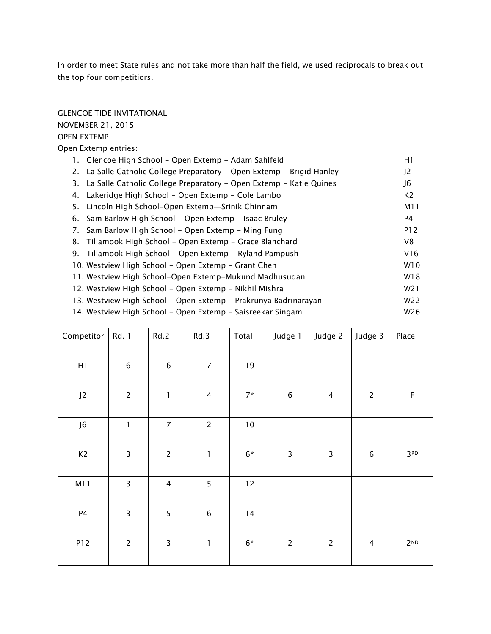*In order to meet State rules and not take more than half the field, we used reciprocals to break out the top four competitiors.*

#### *GLENCOE TIDE INVITATIONAL*

#### *NOVEMBER 21, 2015*

#### *OPEN EXTEMP*

*Open Extemp entries:*

| 1. Glencoe High School - Open Extemp - Adam Sahlfeld                   | H1               |
|------------------------------------------------------------------------|------------------|
| 2. La Salle Catholic College Preparatory - Open Extemp - Brigid Hanley | J <sub>2</sub>   |
| 3. La Salle Catholic College Preparatory – Open Extemp – Katie Quines  | J6               |
| 4. Lakeridge High School - Open Extemp - Cole Lambo                    | K <sub>2</sub>   |
| 5. Lincoln High School-Open Extemp-Srinik Chinnam                      | M11              |
| 6. Sam Barlow High School - Open Extemp - Isaac Bruley                 | P4               |
| 7. Sam Barlow High School – Open Extemp – Ming Fung                    | P12              |
| 8. Tillamook High School - Open Extemp - Grace Blanchard               | V8               |
| 9. Tillamook High School – Open Extemp – Ryland Pampush                | V16              |
| 10. Westview High School – Open Extemp – Grant Chen                    | W <sub>10</sub>  |
| 11. Westview High School-Open Extemp-Mukund Madhusudan                 | W18              |
| 12. Westview High School – Open Extemp – Nikhil Mishra                 | W <sub>2</sub> 1 |
| 13. Westview High School - Open Extemp - Prakrunya Badrinarayan        | W22              |
| 14. Westview High School - Open Extemp - Saisreekar Singam             | W26              |

| Competitor     | Rd. 1                   | Rd.2                                  | Rd.3           | Total  | Judge 1                 | Judge 2        | Judge 3        | Place           |
|----------------|-------------------------|---------------------------------------|----------------|--------|-------------------------|----------------|----------------|-----------------|
|                |                         |                                       |                |        |                         |                |                |                 |
|                |                         |                                       |                |        |                         |                |                |                 |
| H1             | $\,6$                   | $\,6\,$                               | $\overline{7}$ | 19     |                         |                |                |                 |
|                |                         |                                       |                |        |                         |                |                |                 |
| J <sub>2</sub> | $\overline{c}$          | $\begin{array}{c} \hline \end{array}$ | $\overline{4}$ | $7*$   | $\,$ 6 $\,$             | $\overline{4}$ | $\overline{2}$ | $\mathsf F$     |
|                |                         |                                       |                |        |                         |                |                |                 |
| J6             | $\mathbf{I}$            | $\overline{7}$                        | $\overline{c}$ | $10\,$ |                         |                |                |                 |
|                |                         |                                       |                |        |                         |                |                |                 |
| K <sub>2</sub> | $\overline{\mathbf{3}}$ | $\overline{c}$                        | $\mathbf{I}$   | $6*$   | $\overline{\mathbf{3}}$ | 3              | $\,$ 6 $\,$    | 3 <sup>RD</sup> |
|                |                         |                                       |                |        |                         |                |                |                 |
| M11            | 3                       | $\overline{4}$                        | 5              | 12     |                         |                |                |                 |
|                |                         |                                       |                |        |                         |                |                |                 |
| P4             | 3                       | 5                                     | $\,$ 6 $\,$    | 14     |                         |                |                |                 |
|                |                         |                                       |                |        |                         |                |                |                 |
|                |                         |                                       |                |        |                         |                |                |                 |
| P12            | $\overline{c}$          | $\overline{3}$                        | $\mathbf{I}$   | $6*$   | $\overline{2}$          | $\overline{c}$ | $\overline{4}$ | 2 <sub>ND</sub> |
|                |                         |                                       |                |        |                         |                |                |                 |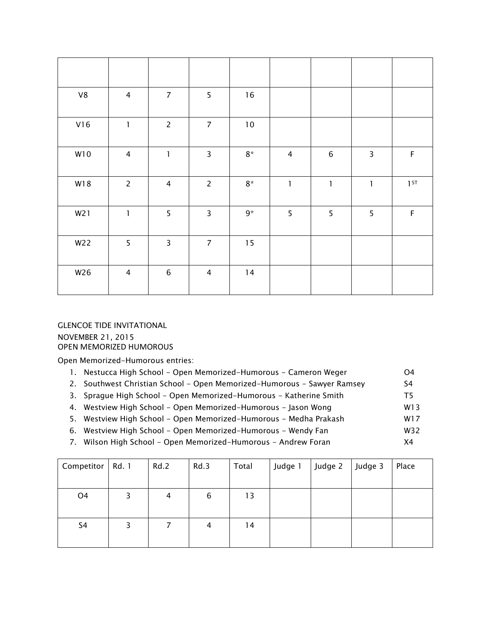| ${\vee}{8}$ | $\overline{4}$ | $\overline{7}$          | 5                       | $16$       |                |             |                |             |
|-------------|----------------|-------------------------|-------------------------|------------|----------------|-------------|----------------|-------------|
| V16         | $\mathbf{I}$   | $\overline{2}$          | $\overline{7}$          | $10\,$     |                |             |                |             |
| W10         | $\overline{4}$ | $\mathbf{1}$            | $\overline{\mathbf{3}}$ | $8^{\ast}$ | $\overline{4}$ | $\,$ 6      | $\overline{3}$ | $\mathsf F$ |
| W18         | $\overline{c}$ | $\overline{4}$          | $\overline{2}$          | $8^{\ast}$ | $\mathbf{l}$   | $\mathbf 1$ | $\mathbf{l}$   | 1ST         |
| W21         | $\mathbf{I}$   | 5                       | $\overline{\mathbf{3}}$ | $9*$       | 5              | 5           | 5              | $\mathsf F$ |
| W22         | 5              | $\overline{\mathbf{3}}$ | $\overline{7}$          | 15         |                |             |                |             |
| W26         | $\overline{4}$ | $\,$ 6 $\,$             | $\overline{4}$          | 14         |                |             |                |             |

*GLENCOE TIDE INVITATIONAL NOVEMBER 21, 2015*  OPEN MEMORIZED HUMOROUS

*Open Memorized-Humorous entries:*

| 1. Nestucca High School - Open Memorized-Humorous - Cameron Weger       | O4  |
|-------------------------------------------------------------------------|-----|
| 2. Southwest Christian School - Open Memorized-Humorous - Sawyer Ramsey | S4  |
| 3. Sprague High School - Open Memorized-Humorous - Katherine Smith      | T5. |
| 4. Westview High School - Open Memorized-Humorous - Jason Wong          | W13 |
| 5. Westview High School - Open Memorized-Humorous - Medha Prakash       | W17 |

- *6. Westview High School Open Memorized-Humorous Wendy Fan W32*
- *7. Wilson High School Open Memorized-Humorous Andrew Foran X4*

| Competitor     | Rd. 1 | Rd.2 | Rd.3 | Total | Judge 1 | Judge 2 | Judge 3 | Place |
|----------------|-------|------|------|-------|---------|---------|---------|-------|
|                |       |      |      |       |         |         |         |       |
| O <sub>4</sub> |       | 4    | 6    | 13    |         |         |         |       |
|                |       |      |      |       |         |         |         |       |
| S <sub>4</sub> | 3     |      | 4    | 14    |         |         |         |       |
|                |       |      |      |       |         |         |         |       |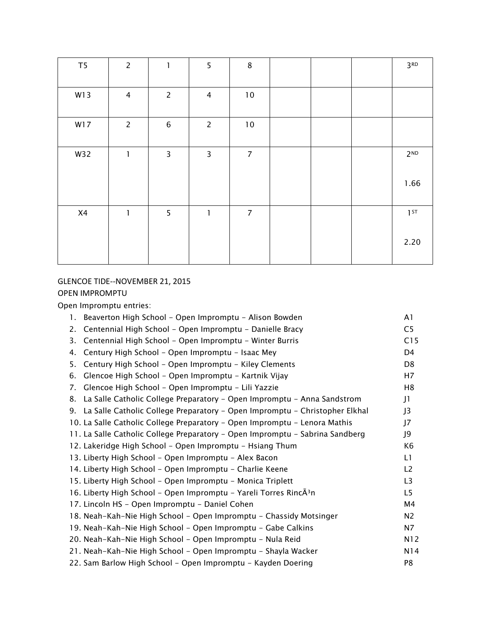| T <sub>5</sub> | $\overline{c}$          | $\mathbf{I}$   | 5              | $\bf 8$          |  | 3 <sup>RD</sup> |
|----------------|-------------------------|----------------|----------------|------------------|--|-----------------|
| W13            | $\overline{\mathbf{4}}$ | $\overline{c}$ | $\overline{4}$ | $10$             |  |                 |
| W17            | $\overline{c}$          | $\,$ 6 $\,$    | $\overline{c}$ | $10\,$           |  |                 |
| W32            | $\mathbf{I}$            | 3              | 3              | $\overline{7}$   |  | 2 <sub>ND</sub> |
|                |                         |                |                |                  |  | 1.66            |
| X4             | $\mathbf{I}$            | 5              | $\mathbf{I}$   | $\boldsymbol{7}$ |  | 1 <sup>ST</sup> |
|                |                         |                |                |                  |  | 2.20            |

# GLENCOE TIDE--NOVEMBER 21, 2015 OPEN IMPROMPTU

*Open Impromptu entries:*

| Beaverton High School - Open Impromptu - Alison Bowden<br>1.                   | A1             |
|--------------------------------------------------------------------------------|----------------|
| Centennial High School - Open Impromptu - Danielle Bracy<br>2.                 | C <sub>5</sub> |
| Centennial High School - Open Impromptu - Winter Burris<br>3.                  | C15            |
| Century High School - Open Impromptu - Isaac Mey<br>4.                         | D4             |
| Century High School - Open Impromptu - Kiley Clements<br>5.                    | D <sub>8</sub> |
| Glencoe High School - Open Impromptu - Kartnik Vijay<br>6.                     | H7             |
| Glencoe High School - Open Impromptu - Lili Yazzie<br>7.                       | H8             |
| La Salle Catholic College Preparatory - Open Impromptu - Anna Sandstrom<br>8.  | J1             |
| 9. La Salle Catholic College Preparatory - Open Impromptu - Christopher Elkhal | J3             |
| 10. La Salle Catholic College Preparatory - Open Impromptu - Lenora Mathis     | J7             |
| 11. La Salle Catholic College Preparatory - Open Impromptu - Sabrina Sandberg  | J9             |
| 12. Lakeridge High School - Open Impromptu - Hsiang Thum                       | K <sub>6</sub> |
| 13. Liberty High School - Open Impromptu - Alex Bacon                          | L1             |
| 14. Liberty High School - Open Impromptu - Charlie Keene                       | L2             |
| 15. Liberty High School - Open Impromptu - Monica Triplett                     | L3             |
| 16. Liberty High School - Open Impromptu - Yareli Torres RincÃ <sup>3</sup> n  | L <sub>5</sub> |
| 17. Lincoln HS - Open Impromptu - Daniel Cohen                                 | M4             |
| 18. Neah-Kah-Nie High School - Open Impromptu - Chassidy Motsinger             | N <sub>2</sub> |
| 19. Neah-Kah-Nie High School - Open Impromptu - Gabe Calkins                   | N7             |
| 20. Neah-Kah-Nie High School - Open Impromptu - Nula Reid                      | N12            |
| 21. Neah-Kah-Nie High School - Open Impromptu - Shayla Wacker                  | N14            |
| 22. Sam Barlow High School - Open Impromptu - Kayden Doering                   | P8             |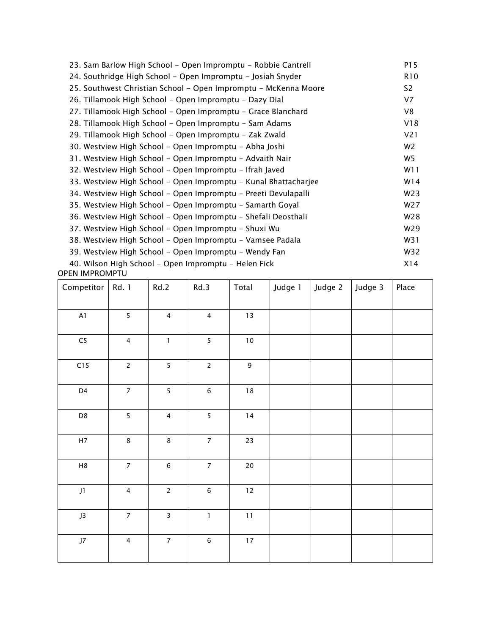| 23. Sam Barlow High School - Open Impromptu - Robbie Cantrell   | P15              |
|-----------------------------------------------------------------|------------------|
| 24. Southridge High School - Open Impromptu - Josiah Snyder     | R <sub>10</sub>  |
| 25. Southwest Christian School – Open Impromptu – McKenna Moore | S <sub>2</sub>   |
| 26. Tillamook High School – Open Impromptu – Dazy Dial          | V <sub>7</sub>   |
| 27. Tillamook High School - Open Impromptu - Grace Blanchard    | V8               |
| 28. Tillamook High School - Open Impromptu - Sam Adams          | V18              |
| 29. Tillamook High School - Open Impromptu - Zak Zwald          | V <sub>2</sub> 1 |
| 30. Westview High School - Open Impromptu - Abha Joshi          | W <sub>2</sub>   |
| 31. Westview High School - Open Impromptu - Advaith Nair        | W5               |
| 32. Westview High School - Open Impromptu - Ifrah Javed         | W11              |
| 33. Westview High School - Open Impromptu - Kunal Bhattacharjee | W14              |
| 34. Westview High School - Open Impromptu - Preeti Devulapalli  | W23              |
| 35. Westview High School – Open Impromptu – Samarth Goyal       | W27              |
| 36. Westview High School - Open Impromptu - Shefali Deosthali   | W28              |
| 37. Westview High School - Open Impromptu - Shuxi Wu            | W29              |
| 38. Westview High School - Open Impromptu - Vamsee Padala       | W31              |
| 39. Westview High School - Open Impromptu - Wendy Fan           | W32              |
| 40. Wilson High School - Open Impromptu - Helen Fick            | X14              |

OPEN IMPROMPTU

| Competitor    | Rd. 1          | Rd.2                    | Rd.3                    | Total            | Judge 1 | Judge 2 | Judge 3 | Place |
|---------------|----------------|-------------------------|-------------------------|------------------|---------|---------|---------|-------|
| $\mathsf{A}1$ | 5              | $\overline{4}$          | $\overline{4}$          | $13\,$           |         |         |         |       |
| ${\sf C}5$    | $\overline{4}$ | $\mathbf{1}$            | 5                       | $10\,$           |         |         |         |       |
| C15           | $\overline{c}$ | 5                       | $\overline{2}$          | $\boldsymbol{9}$ |         |         |         |       |
| D4            | $\overline{7}$ | 5                       | $\,$ 6 $\,$             | $18\,$           |         |         |         |       |
| D8            | 5              | $\overline{4}$          | 5                       | $14$             |         |         |         |       |
| $\mathsf{H}7$ | $\,8\,$        | $\,8\,$                 | $\overline{7}$          | $23\,$           |         |         |         |       |
| $\mathsf{H8}$ | $\overline{7}$ | $\,$ 6 $\,$             | $\overline{\mathbf{z}}$ | $20\,$           |         |         |         |       |
| J1            | $\overline{4}$ | $\overline{2}$          | $\,6\,$                 | $12\,$           |         |         |         |       |
| ${\sf J}3$    | $\overline{7}$ | $\overline{\mathbf{3}}$ | $\mathbf 1$             | $11\,$           |         |         |         |       |
| $\sf J7$      | $\overline{4}$ | $\overline{7}$          | $\,$ 6 $\,$             | $17\,$           |         |         |         |       |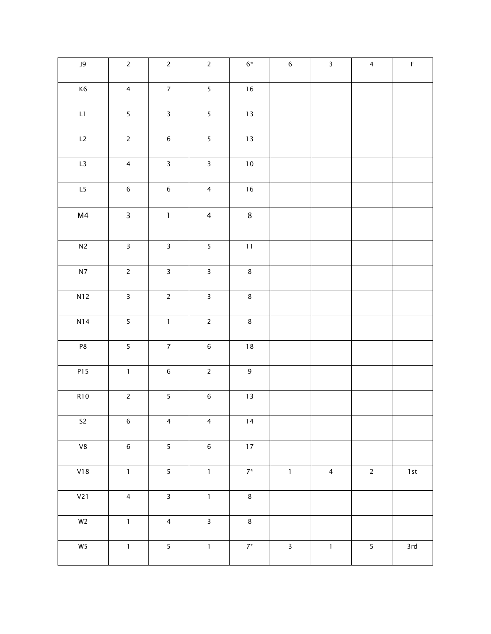| J9             | $\overline{c}$          | $\overline{c}$          | $\overline{2}$          | $6^\ast$         | $\,$ 6 $\,$  | $\overline{\mathbf{3}}$ | $\overline{4}$          | $\mathsf F$      |
|----------------|-------------------------|-------------------------|-------------------------|------------------|--------------|-------------------------|-------------------------|------------------|
| K6             | $\overline{4}$          | $\overline{7}$          | $\overline{\mathbf{5}}$ | $16\,$           |              |                         |                         |                  |
| $\mathsf{L}1$  | $\overline{\mathbf{5}}$ | $\overline{3}$          | $\overline{\mathbf{5}}$ | 13               |              |                         |                         |                  |
| L2             | $\overline{2}$          | $\,$ 6 $\,$             | 5                       | $13\,$           |              |                         |                         |                  |
| L3             | $\overline{4}$          | $\overline{\mathbf{3}}$ | $\overline{\mathbf{3}}$ | $10\,$           |              |                         |                         |                  |
| L5             | $\,$ 6 $\,$             | $\sqrt{6}$              | $\overline{4}$          | $16\,$           |              |                         |                         |                  |
| M <sub>4</sub> | $\mathsf{3}$            | $\mathbf 1$             | $\overline{4}$          | $\bf 8$          |              |                         |                         |                  |
| $\mathsf{N}2$  | $\overline{\mathbf{3}}$ | $\mathbf{3}$            | $\overline{\mathbf{5}}$ | $11\,$           |              |                         |                         |                  |
| ${\sf N7}$     | $\overline{c}$          | $\mathsf{3}$            | $\overline{\mathbf{3}}$ | $\bf 8$          |              |                         |                         |                  |
| N12            | $\overline{\mathbf{3}}$ | $\overline{c}$          | $\overline{\mathbf{3}}$ | $\bf 8$          |              |                         |                         |                  |
| N14            | 5                       | $\mathbf 1$             | $\mathsf{2}$            | $\bf 8$          |              |                         |                         |                  |
| P8             | 5                       | $\overline{7}$          | $\,$ 6 $\,$             | $18\,$           |              |                         |                         |                  |
| P15            | $\mathbf{1}$            | $\,$ 6 $\,$             | $\overline{2}$          | $\boldsymbol{9}$ |              |                         |                         |                  |
| <b>R10</b>     | $\sqrt{2}$              | 5                       | $\,$ 6 $\,$             | $1\,3$           |              |                         |                         |                  |
| ${\sf S2}$     | $\,$ 6 $\,$             | $\overline{4}$          | $\overline{4}$          | $\sqrt{14}$      |              |                         |                         |                  |
| ${\vee}{8}$    | $\,$ 6 $\,$             | $\overline{\mathbf{5}}$ | $\,$ 6 $\,$             | $17\,$           |              |                         |                         |                  |
| V18            | $\mathbf{1}$            | $\overline{\mathbf{5}}$ | $\mathbf 1$             | $7^\star$        | $\mathbf 1$  | $\overline{4}$          | $\overline{c}$          | $1\,\mathrm{st}$ |
| V21            | $\overline{4}$          | $\overline{\mathbf{3}}$ | $\mathbf{1}$            | $\bf 8$          |              |                         |                         |                  |
| $W2$           | $\mathbf{1}$            | $\overline{4}$          | $\overline{\mathbf{3}}$ | $\bf 8$          |              |                         |                         |                  |
| ${\sf W5}$     | $\mathbf 1$             | $\overline{\mathbf{5}}$ | $\mathbf 1$             | $7^\star$        | $\mathbf{3}$ | $\mathbf 1$             | $\overline{\mathbf{5}}$ | 3rd              |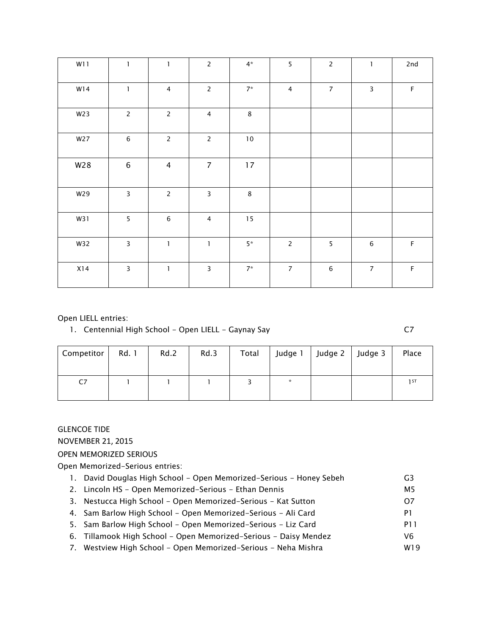| W11 | $\mathbf{1}$            | $\mathbf{1}$   | $\overline{2}$          | $4*$       | 5              | $\overline{c}$          | $\mathbf{1}$   | 2nd         |
|-----|-------------------------|----------------|-------------------------|------------|----------------|-------------------------|----------------|-------------|
| W14 | $\mathbf{1}$            | $\overline{4}$ | $\overline{2}$          | $7*$       | $\overline{4}$ | $\overline{7}$          | $\overline{3}$ | $\mathsf F$ |
| W23 | $\overline{c}$          | $\overline{2}$ | $\overline{4}$          | $\bf 8$    |                |                         |                |             |
| W27 | $\,6\,$                 | $\overline{2}$ | $\overline{2}$          | $10\,$     |                |                         |                |             |
| W28 | $\,$ 6 $\,$             | $\overline{4}$ | $\overline{7}$          | $17$       |                |                         |                |             |
| W29 | $\overline{\mathbf{3}}$ | $\overline{c}$ | $\overline{\mathbf{3}}$ | $\bf 8$    |                |                         |                |             |
| W31 | 5                       | $\,$ 6 $\,$    | $\overline{4}$          | 15         |                |                         |                |             |
| W32 | $\mathbf{3}$            | $\mathbf{1}$   | $\mathbf{l}$            | $5^{\ast}$ | $\overline{2}$ | $\overline{\mathbf{5}}$ | $\,6\,$        | $\mathsf F$ |
| X14 | $\mathsf{3}$            | $\mathbf{1}$   | $\overline{\mathbf{3}}$ | $7^\star$  | $\overline{7}$ | $\,$ 6 $\,$             | $\overline{7}$ | $\mathsf F$ |

#### *Open LIELL entries:*

*1. Centennial High School - Open LIELL - Gaynay Say C7* 

| Competitor | Rd. 1 | Rd.2 | Rd.3 | Total | Judge 1 | Judge 2   Judge 3 | Place           |
|------------|-------|------|------|-------|---------|-------------------|-----------------|
| C7         |       |      |      |       | $\star$ |                   | 1 <sub>ST</sub> |

### GLENCOE TIDE

NOVEMBER 21, 2015

*OPEN MEMORIZED SERIOUS* 

*Open Memorized-Serious entries:*

- *1. David Douglas High School Open Memorized-Serious Honey Sebeh G3*
- *2. Lincoln HS Open Memorized-Serious Ethan Dennis M5*
- *3. Nestucca High School Open Memorized-Serious Kat Sutton O7*
- *4. Sam Barlow High School Open Memorized-Serious Ali Card P1*
- *5. Sam Barlow High School Open Memorized-Serious Liz Card P11*
- *6. Tillamook High School Open Memorized-Serious Daisy Mendez V6*
- 7. Westview High School Open Memorized-Serious Neha Mishra **WISCON CONTENTS**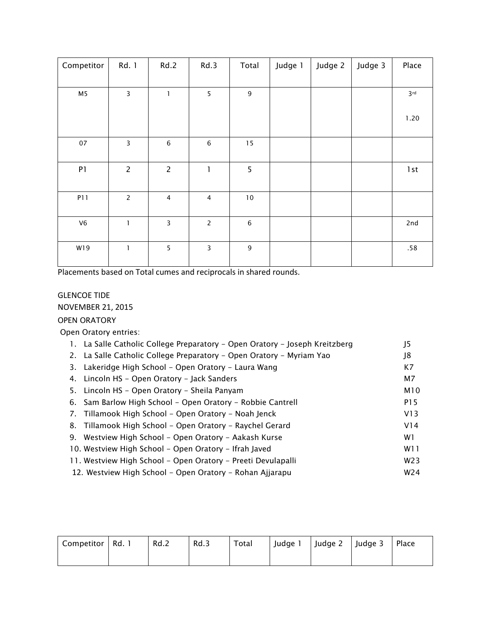| Competitor     | Rd. 1          | Rd.2                    | Rd.3           | Total            | Judge 1 | Judge 2 | Judge 3 | Place           |
|----------------|----------------|-------------------------|----------------|------------------|---------|---------|---------|-----------------|
| M5             | 3              | $\mathbf{1}$            | 5              | $\mathsf 9$      |         |         |         | 3 <sup>rd</sup> |
|                |                |                         |                |                  |         |         |         | 1.20            |
| 07             | 3              | $\,6\,$                 | $\,6\,$        | 15               |         |         |         |                 |
| ${\sf P1}$     | $\overline{c}$ | $\overline{c}$          | $\mathbf{I}$   | 5                |         |         |         | 1st             |
| P11            | $\overline{c}$ | $\overline{\mathbf{4}}$ | $\overline{4}$ | $10\,$           |         |         |         |                 |
| V <sub>6</sub> | $\mathbf{1}$   | 3                       | $\overline{c}$ | $\,6\,$          |         |         |         | 2nd             |
| W19            | $\mathbf{1}$   | 5                       | 3              | $\boldsymbol{9}$ |         |         |         | .58             |

Placements based on Total cumes and reciprocals in shared rounds.

# GLENCOE TIDE NOVEMBER 21, 2015

### *OPEN ORATORY*

 *Open Oratory entries:*

| 1. La Salle Catholic College Preparatory - Open Oratory - Joseph Kreitzberg | J5              |
|-----------------------------------------------------------------------------|-----------------|
| 2. La Salle Catholic College Preparatory – Open Oratory – Myriam Yao        | J8              |
| Lakeridge High School - Open Oratory - Laura Wang<br>3.                     | K7              |
| 4. Lincoln HS - Open Oratory - Jack Sanders                                 | M7              |
| 5. Lincoln HS – Open Oratory – Sheila Panyam                                | M10             |
| 6. Sam Barlow High School - Open Oratory - Robbie Cantrell                  | P15             |
| 7. Tillamook High School – Open Oratory – Noah Jenck                        | V13             |
| 8. Tillamook High School – Open Oratory – Raychel Gerard                    | V14             |
| Westview High School - Open Oratory - Aakash Kurse<br>9.                    | W1              |
| 10. Westview High School – Open Oratory – Ifrah Javed                       | W11             |
| 11. Westview High School – Open Oratory – Preeti Devulapalli                | W <sub>23</sub> |
| 12. Westview High School – Open Oratory – Rohan Ajjarapu                    | W <sub>24</sub> |

| Competitor | Rd. | Rd.2 | Rd.3 | Total | Judge 1 | Judge 2 | Judge 3 | Place |
|------------|-----|------|------|-------|---------|---------|---------|-------|
|            |     |      |      |       |         |         |         |       |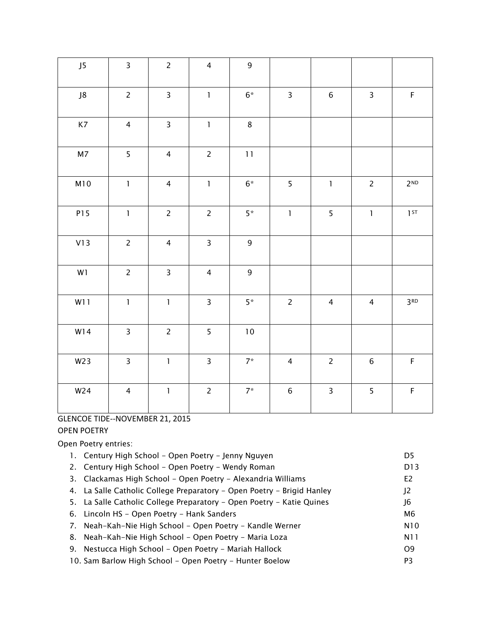| J5             | $\overline{3}$          | $\overline{c}$          | $\overline{4}$          | $\mathsf g$ |                         |                         |                |                 |
|----------------|-------------------------|-------------------------|-------------------------|-------------|-------------------------|-------------------------|----------------|-----------------|
| J8             | $\overline{c}$          | $\overline{\mathbf{3}}$ | $\mathbf{1}$            | $6*$        | $\overline{\mathbf{3}}$ | $6\phantom{.}$          | $\overline{3}$ | $\mathsf F$     |
| K7             | $\overline{4}$          | $\overline{\mathbf{3}}$ | $\mathbf{1}$            | $\,8\,$     |                         |                         |                |                 |
| M <sub>7</sub> | 5                       | $\overline{4}$          | $\overline{2}$          | 11          |                         |                         |                |                 |
| M10            | $\mathbf{1}$            | $\overline{4}$          | $\mathbf{1}$            | $6*$        | 5                       | $\mathbf 1$             | $\overline{2}$ | 2 <sub>ND</sub> |
| P15            | $\mathbf{1}$            | $\overline{2}$          | $\overline{2}$          | $5*$        | $\mathbf{1}$            | 5                       | $\mathbf{1}$   | 1ST             |
| V13            | $\overline{2}$          | $\overline{4}$          | $\overline{\mathbf{3}}$ | $\mathsf 9$ |                         |                         |                |                 |
| W1             | $\overline{2}$          | $\overline{\mathbf{3}}$ | $\overline{4}$          | $\mathsf 9$ |                         |                         |                |                 |
| W11            | $\mathbf 1$             | $\mathbf{1}$            | $\overline{\mathbf{3}}$ | $5*$        | $\overline{c}$          | $\overline{4}$          | $\overline{4}$ | 3 <sup>RD</sup> |
| W14            | $\mathsf{3}$            | $\overline{c}$          | 5                       | $10\,$      |                         |                         |                |                 |
| W23            | $\overline{\mathbf{3}}$ | $\mathbf{1}$            | $\overline{\mathbf{3}}$ | $7*$        | $\overline{4}$          | $\overline{c}$          | $\sqrt{6}$     | $\mathsf F$     |
| W24            | $\overline{4}$          | $\mathbf{1}$            | $\overline{2}$          | $7*$        | $\,$ 6 $\,$             | $\overline{\mathbf{3}}$ | 5              | $\mathsf F$     |

# GLENCOE TIDE--NOVEMBER 21, 2015

### OPEN POETRY

*Open Poetry entries:*

| 1. Century High School - Open Poetry - Jenny Nguyen                    | D5              |
|------------------------------------------------------------------------|-----------------|
| 2. Century High School - Open Poetry - Wendy Roman                     | D <sub>13</sub> |
| 3. Clackamas High School - Open Poetry - Alexandria Williams           | E <sub>2</sub>  |
| 4. La Salle Catholic College Preparatory – Open Poetry – Brigid Hanley | J2              |
| 5. La Salle Catholic College Preparatory – Open Poetry – Katie Quines  | J6              |
| 6. Lincoln HS - Open Poetry - Hank Sanders                             | M6              |
| 7. Neah-Kah-Nie High School – Open Poetry – Kandle Werner              | N10             |
| 8. Neah-Kah-Nie High School - Open Poetry - Maria Loza                 | N11             |
| 9. Nestucca High School - Open Poetry - Mariah Hallock                 | O <sub>9</sub>  |
|                                                                        |                 |

*10. Sam Barlow High School - Open Poetry - Hunter Boelow P3*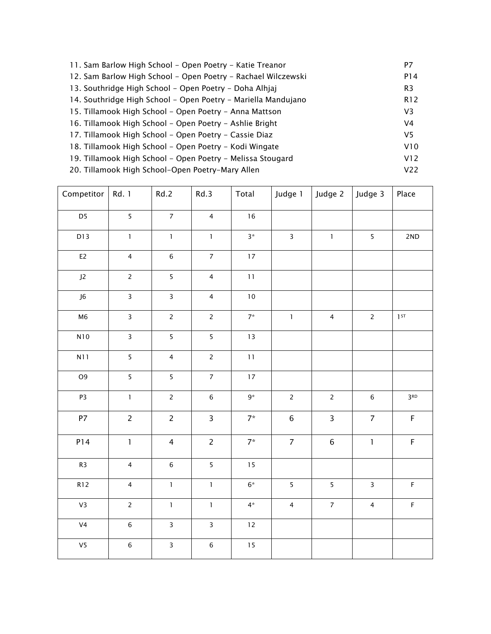| 11. Sam Barlow High School - Open Poetry - Katie Treanor      | P7              |
|---------------------------------------------------------------|-----------------|
| 12. Sam Barlow High School – Open Poetry – Rachael Wilczewski | P14             |
| 13. Southridge High School – Open Poetry – Doha Alhiaj        | R <sub>3</sub>  |
| 14. Southridge High School - Open Poetry - Mariella Mandujano | R <sub>12</sub> |
| 15. Tillamook High School – Open Poetry – Anna Mattson        | V3              |
| 16. Tillamook High School - Open Poetry - Ashlie Bright       | V4              |
| 17. Tillamook High School - Open Poetry - Cassie Diaz         | V5              |
| 18. Tillamook High School – Open Poetry – Kodi Wingate        | V10             |
| 19. Tillamook High School - Open Poetry - Melissa Stougard    | V12             |
| 20. Tillamook High School-Open Poetry-Mary Allen              | V22             |

| Competitor      | Rd. 1                   | Rd.2                    | Rd.3                    | Total      | Judge 1        | Judge 2        | Judge 3                 | Place           |
|-----------------|-------------------------|-------------------------|-------------------------|------------|----------------|----------------|-------------------------|-----------------|
| D5              | 5                       | $\overline{7}$          | $\overline{4}$          | $16\,$     |                |                |                         |                 |
| D13             | $\mathbf 1$             | $\mathbf 1$             | $\mathbf 1$             | $3*$       | $\overline{3}$ | $\mathbf{1}$   | 5                       | 2ND             |
| E <sub>2</sub>  | $\overline{4}$          | $\,$ 6 $\,$             | $\overline{7}$          | $17\,$     |                |                |                         |                 |
| $\mathsf{J2}\,$ | $\overline{c}$          | 5                       | $\overline{4}$          | $11\,$     |                |                |                         |                 |
| J6              | $\overline{\mathbf{3}}$ | $\overline{\mathbf{3}}$ | $\overline{4}$          | $10\,$     |                |                |                         |                 |
| M6              | $\mathsf{3}$            | $\overline{c}$          | $\overline{2}$          | $7^\star$  | $\mathbf{1}$   | $\overline{4}$ | $\overline{2}$          | $1$ ST          |
| N10             | $\overline{\mathbf{3}}$ | 5                       | $\overline{5}$          | $13$       |                |                |                         |                 |
| N11             | 5                       | $\overline{4}$          | $\overline{2}$          | $11\,$     |                |                |                         |                 |
| O <sub>9</sub>  | 5                       | 5                       | $\overline{7}$          | $17\,$     |                |                |                         |                 |
| P3              | $\mathbf 1$             | $\overline{2}$          | $\,$ 6 $\,$             | $9^{\ast}$ | $\overline{2}$ | $\overline{2}$ | $\,$ 6 $\,$             | 3 <sup>RD</sup> |
| P7              | $\overline{2}$          | $\overline{2}$          | $\overline{3}$          | $7*$       | $\,$ 6 $\,$    | $\overline{3}$ | $\overline{7}$          | $\mathsf F$     |
| P14             | $\mathbf{1}$            | $\overline{4}$          | $\overline{c}$          | $7^*$      | $\overline{7}$ | $\,$ 6 $\,$    | $\mathbf{1}$            | $\mathsf F$     |
| R <sub>3</sub>  | $\overline{4}$          | $\,$ 6 $\,$             | 5                       | $15$       |                |                |                         |                 |
| <b>R12</b>      | $\overline{\mathbf{4}}$ | $\mathbf{1}$            | $\mathbf 1$             | $6^\ast$   | 5              | 5              | $\overline{\mathbf{3}}$ | $\mathsf F$     |
| V3              | $\overline{2}$          | $\mathbf{1}$            | $\mathbf{1}$            | $4*$       | $\overline{4}$ | $\overline{7}$ | $\overline{4}$          | $\mathsf F$     |
| V <sub>4</sub>  | $\,$ 6 $\,$             | $\overline{\mathbf{3}}$ | $\overline{\mathbf{3}}$ | $12\,$     |                |                |                         |                 |
| V <sub>5</sub>  | $\,$ 6 $\,$             | $\overline{\mathbf{3}}$ | $\,$ 6 $\,$             | 15         |                |                |                         |                 |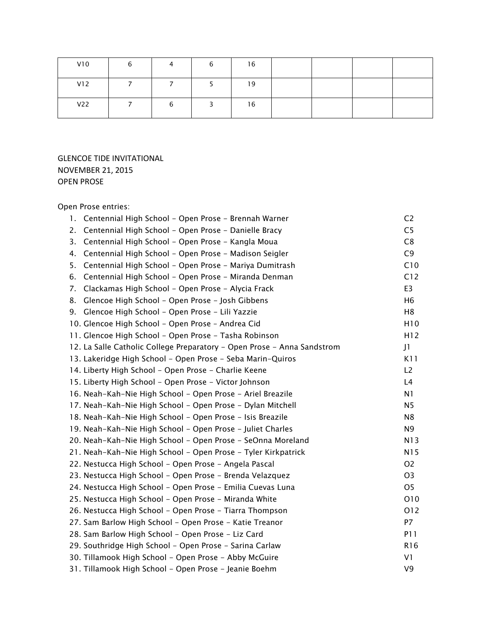| V10 | b | 4 | b | 16 |  |  |
|-----|---|---|---|----|--|--|
| V12 |   |   |   | 19 |  |  |
| V22 |   | b |   | 16 |  |  |

# GLENCOE TIDE INVITATIONAL NOVEMBER 21, 2015 OPEN PROSE

## *Open Prose entries:*

| 1. Centennial High School - Open Prose - Brennah Warner                 | C <sub>2</sub>  |
|-------------------------------------------------------------------------|-----------------|
| Centennial High School - Open Prose - Danielle Bracy<br>2.              | C <sub>5</sub>  |
| Centennial High School - Open Prose - Kangla Moua<br>3.                 | C8              |
| Centennial High School - Open Prose - Madison Seigler<br>4.             | C <sub>9</sub>  |
| 5.<br>Centennial High School - Open Prose - Mariya Dumitrash            | C10             |
| Centennial High School - Open Prose - Miranda Denman<br>6.              | C12             |
| Clackamas High School - Open Prose - Alycia Frack<br>7.                 | E <sub>3</sub>  |
| Glencoe High School - Open Prose - Josh Gibbens<br>8.                   | H <sub>6</sub>  |
| Glencoe High School - Open Prose - Lili Yazzie<br>9.                    | H <sub>8</sub>  |
| 10. Glencoe High School - Open Prose - Andrea Cid                       | H10             |
| 11. Glencoe High School - Open Prose - Tasha Robinson                   | H12             |
| 12. La Salle Catholic College Preparatory - Open Prose - Anna Sandstrom | J <sub>1</sub>  |
| 13. Lakeridge High School - Open Prose - Seba Marin-Quiros              | K11             |
| 14. Liberty High School - Open Prose - Charlie Keene                    | L2              |
| 15. Liberty High School - Open Prose - Victor Johnson                   | L4              |
| 16. Neah-Kah-Nie High School - Open Prose - Ariel Breazile              | N <sub>1</sub>  |
| 17. Neah-Kah-Nie High School - Open Prose - Dylan Mitchell              | N <sub>5</sub>  |
| 18. Neah-Kah-Nie High School - Open Prose - Isis Breazile               | N <sub>8</sub>  |
| 19. Neah-Kah-Nie High School - Open Prose - Juliet Charles              | N9              |
| 20. Neah-Kah-Nie High School - Open Prose - SeOnna Moreland             | N13             |
| 21. Neah-Kah-Nie High School - Open Prose - Tyler Kirkpatrick           | N15             |
| 22. Nestucca High School - Open Prose - Angela Pascal                   | O <sub>2</sub>  |
| 23. Nestucca High School - Open Prose - Brenda Velazquez                | O <sub>3</sub>  |
| 24. Nestucca High School - Open Prose - Emilia Cuevas Luna              | O <sub>5</sub>  |
| 25. Nestucca High School - Open Prose - Miranda White                   | O10             |
| 26. Nestucca High School - Open Prose - Tiarra Thompson                 | O12             |
| 27. Sam Barlow High School - Open Prose - Katie Treanor                 | P7              |
| 28. Sam Barlow High School - Open Prose - Liz Card                      | <b>P11</b>      |
| 29. Southridge High School - Open Prose - Sarina Carlaw                 | R <sub>16</sub> |
| 30. Tillamook High School - Open Prose - Abby McGuire                   | V <sub>1</sub>  |
| 31. Tillamook High School - Open Prose - Jeanie Boehm                   | V <sub>9</sub>  |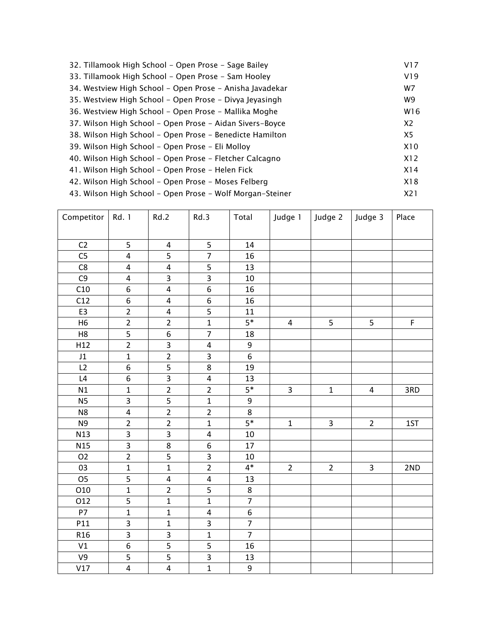| 32. Tillamook High School - Open Prose - Sage Bailey      | V17            |
|-----------------------------------------------------------|----------------|
| 33. Tillamook High School - Open Prose - Sam Hooley       | V19            |
| 34. Westview High School - Open Prose - Anisha Javadekar  | W7             |
| 35. Westview High School – Open Prose – Divya Jeyasingh   | W9             |
| 36. Westview High School – Open Prose – Mallika Moghe     | W16            |
| 37. Wilson High School - Open Prose - Aidan Sivers-Boyce  | X <sub>2</sub> |
| 38. Wilson High School – Open Prose – Benedicte Hamilton  | X5             |
| 39. Wilson High School - Open Prose - Eli Molloy          | X10            |
| 40. Wilson High School – Open Prose – Fletcher Calcagno   | X12            |
| 41. Wilson High School - Open Prose - Helen Fick          | X14            |
| 42. Wilson High School - Open Prose - Moses Felberg       | X18            |
| 43. Wilson High School – Open Prose – Wolf Morgan-Steiner | X21            |

| Competitor      | Rd. 1                   | Rd.2                    | Rd.3                    | Total                   | Judge 1                 | Judge 2        | Judge 3        | Place       |
|-----------------|-------------------------|-------------------------|-------------------------|-------------------------|-------------------------|----------------|----------------|-------------|
|                 |                         |                         |                         |                         |                         |                |                |             |
| C <sub>2</sub>  | 5                       | $\pmb{4}$               | 5                       | 14                      |                         |                |                |             |
| C <sub>5</sub>  | $\overline{4}$          | 5                       | $\overline{7}$          | 16                      |                         |                |                |             |
| C8              | $\overline{4}$          | $\pmb{4}$               | 5                       | 13                      |                         |                |                |             |
| C <sub>9</sub>  | $\overline{\mathbf{4}}$ | 3                       | $\overline{3}$          | $10\,$                  |                         |                |                |             |
| C10             | 6                       | $\overline{\mathbf{4}}$ | $\overline{6}$          | 16                      |                         |                |                |             |
| C12             | 6                       | $\pmb{4}$               | 6                       | 16                      |                         |                |                |             |
| E3              | $\overline{2}$          | $\overline{4}$          | $\overline{5}$          | 11                      |                         |                |                |             |
| H <sub>6</sub>  | $\overline{2}$          | $\overline{2}$          | $\mathbf 1$             | $5*$                    | $\overline{4}$          | 5              | 5              | $\mathsf F$ |
| H <sub>8</sub>  | $\overline{5}$          | 6                       | $\overline{7}$          | 18                      |                         |                |                |             |
| H12             | $\overline{2}$          | $\overline{\mathbf{3}}$ | $\overline{\mathbf{4}}$ | $\boldsymbol{9}$        |                         |                |                |             |
| J1              | $\mathbf{1}$            | $\overline{2}$          | 3                       | $\overline{6}$          |                         |                |                |             |
| L2              | 6                       | $\overline{5}$          | 8                       | 19                      |                         |                |                |             |
| L4              | 6                       | $\overline{3}$          | 4                       | 13                      |                         |                |                |             |
| N1              | $\mathbf{1}$            | $\overline{2}$          | $\overline{2}$          | $5*$                    | $\overline{\mathbf{3}}$ | $\mathbf 1$    | $\overline{4}$ | 3RD         |
| <b>N5</b>       | 3                       | $\overline{5}$          | $\mathbf 1$             | $\boldsymbol{9}$        |                         |                |                |             |
| N <sub>8</sub>  | $\overline{\mathbf{4}}$ | $\overline{2}$          | $\overline{2}$          | 8                       |                         |                |                |             |
| N <sub>9</sub>  | $\overline{2}$          | $\overline{2}$          | $\mathbf{1}$            | $5*$                    | $\mathbf{1}$            | $\overline{3}$ | $\overline{2}$ | 1ST         |
| N13             | $\overline{3}$          | $\overline{3}$          | $\overline{\mathbf{4}}$ | 10                      |                         |                |                |             |
| N <sub>15</sub> | $\overline{3}$          | $\,8\,$                 | 6                       | 17                      |                         |                |                |             |
| O <sub>2</sub>  | $\overline{2}$          | 5                       | 3                       | 10                      |                         |                |                |             |
| 03              | $\mathbf{1}$            | $\mathbf 1$             | $\overline{2}$          | $4*$                    | $\overline{2}$          | $\overline{2}$ | $\mathbf{3}$   | 2ND         |
| O <sub>5</sub>  | $\overline{5}$          | $\overline{\mathbf{r}}$ | 4                       | 13                      |                         |                |                |             |
| O10             | $\overline{1}$          | $\overline{2}$          | 5                       | 8                       |                         |                |                |             |
| 012             | 5                       | $\mathbf{1}$            | $\mathbf 1$             | $\overline{\mathbf{7}}$ |                         |                |                |             |
| <b>P7</b>       | $\mathbf{1}$            | $\mathbf{1}$            | 4                       | $\overline{6}$          |                         |                |                |             |
| P11             | $\overline{3}$          | $\mathbf 1$             | $\overline{3}$          | $\overline{7}$          |                         |                |                |             |
| R <sub>16</sub> | $\overline{3}$          | 3                       | $\mathbf{1}$            | $\overline{7}$          |                         |                |                |             |
| V1              | $\overline{6}$          | $\overline{5}$          | 5                       | 16                      |                         |                |                |             |
| V9              | 5                       |                         | $\overline{\mathbf{3}}$ | 13                      |                         |                |                |             |
| V17             | $\overline{4}$          | $\overline{4}$          | $\overline{1}$          | $\overline{9}$          |                         |                |                |             |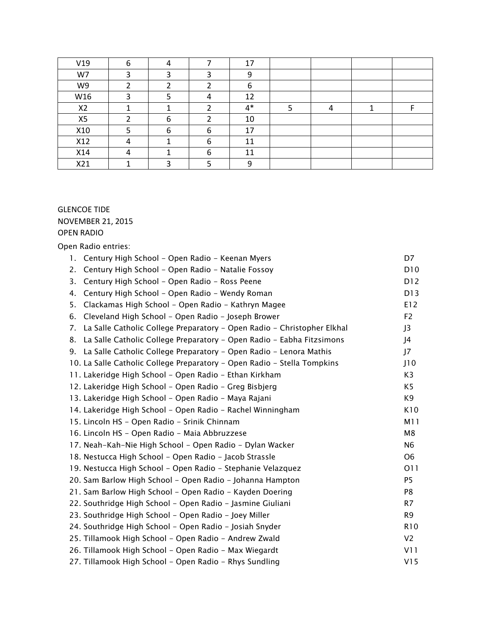| V19            | 6 | 4 |   | 17   |  |  |
|----------------|---|---|---|------|--|--|
| W7             |   |   |   | ∩    |  |  |
| W9             |   |   |   | 6    |  |  |
| W16            |   |   |   | 12   |  |  |
| X <sub>2</sub> |   |   |   | $4*$ |  |  |
| X5             |   | n |   | 10   |  |  |
| X10            |   |   | n | 17   |  |  |
| X12            | 4 |   | 6 | 11   |  |  |
| X14            |   |   |   | 11   |  |  |
| X21            |   |   |   | Ω    |  |  |

# GLENCOE TIDE NOVEMBER 21, 2015 OPEN RADIO

*Open Radio entries:*

| Century High School - Open Radio - Keenan Myers<br>1.                         | D7             |
|-------------------------------------------------------------------------------|----------------|
| Century High School - Open Radio - Natalie Fossoy<br>2.                       | D10            |
| Century High School - Open Radio - Ross Peene<br>3.                           | D12            |
| Century High School - Open Radio - Wendy Roman<br>4.                          | D13            |
| Clackamas High School - Open Radio - Kathryn Magee<br>5.                      | E12            |
| 6.<br>Cleveland High School - Open Radio - Joseph Brower                      | F <sub>2</sub> |
| La Salle Catholic College Preparatory - Open Radio - Christopher Elkhal<br>7. | J3             |
| La Salle Catholic College Preparatory - Open Radio - Eabha Fitzsimons<br>8.   | J4             |
| 9. La Salle Catholic College Preparatory - Open Radio - Lenora Mathis         | J7             |
| 10. La Salle Catholic College Preparatory - Open Radio - Stella Tompkins      | J10            |
| 11. Lakeridge High School - Open Radio - Ethan Kirkham                        | K <sub>3</sub> |
| 12. Lakeridge High School - Open Radio - Greg Bisbjerg                        | K <sub>5</sub> |
| 13. Lakeridge High School - Open Radio - Maya Rajani                          | K9             |
| 14. Lakeridge High School - Open Radio - Rachel Winningham                    | K10            |
| 15. Lincoln HS - Open Radio - Srinik Chinnam                                  | M11            |
| 16. Lincoln HS - Open Radio - Maia Abbruzzese                                 | M8             |
| 17. Neah-Kah-Nie High School - Open Radio - Dylan Wacker                      | N <sub>6</sub> |
| 18. Nestucca High School - Open Radio - Jacob Strassle                        | O <sub>6</sub> |
| 19. Nestucca High School - Open Radio - Stephanie Velazquez                   | 011            |
| 20. Sam Barlow High School - Open Radio - Johanna Hampton                     | <b>P5</b>      |
| 21. Sam Barlow High School - Open Radio - Kayden Doering                      | P8             |
| 22. Southridge High School - Open Radio - Jasmine Giuliani                    | R7             |
| 23. Southridge High School - Open Radio - Joey Miller                         | R <sub>9</sub> |
| 24. Southridge High School - Open Radio - Josiah Snyder                       | <b>R10</b>     |
| 25. Tillamook High School - Open Radio - Andrew Zwald                         | V <sub>2</sub> |
| 26. Tillamook High School - Open Radio - Max Wiegardt                         | V11            |
| 27. Tillamook High School - Open Radio - Rhys Sundling                        | V15            |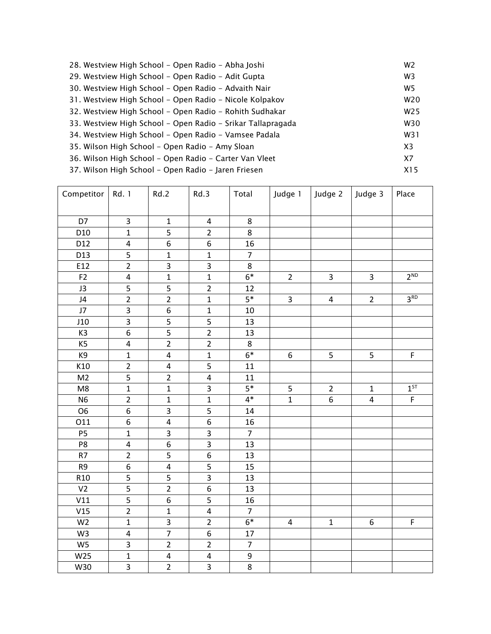| 28. Westview High School – Open Radio – Abha Joshi          | W <sub>2</sub>  |
|-------------------------------------------------------------|-----------------|
| 29. Westview High School - Open Radio - Adit Gupta          | W <sub>3</sub>  |
| 30. Westview High School - Open Radio - Advaith Nair        | W <sub>5</sub>  |
| 31. Westview High School - Open Radio - Nicole Kolpakov     | W <sub>20</sub> |
| 32. Westview High School - Open Radio - Rohith Sudhakar     | W <sub>25</sub> |
| 33. Westview High School - Open Radio - Srikar Tallapragada | W30             |
| 34. Westview High School - Open Radio - Vamsee Padala       | W31             |
| 35. Wilson High School - Open Radio - Amy Sloan             | X <sub>3</sub>  |
| 36. Wilson High School - Open Radio - Carter Van Vleet      | X7              |
| 37. Wilson High School – Open Radio – Jaren Friesen         | X15             |

| Competitor      | Rd. 1                   | Rd.2                    | Rd.3                    | Total            | Judge 1        | Judge 2          | Judge 3        | Place           |
|-----------------|-------------------------|-------------------------|-------------------------|------------------|----------------|------------------|----------------|-----------------|
|                 |                         |                         |                         |                  |                |                  |                |                 |
| D7              | 3                       | $\mathbf{1}$            | 4                       | 8                |                |                  |                |                 |
| D <sub>10</sub> | $\overline{1}$          | $\overline{5}$          | $\overline{2}$          | $\overline{8}$   |                |                  |                |                 |
| D12             | $\overline{\mathbf{4}}$ | 6                       | 6                       | 16               |                |                  |                |                 |
| D13             | 5                       | $\mathbf 1$             | $\mathbf{1}$            | $\overline{7}$   |                |                  |                |                 |
| E12             | $\overline{2}$          | 3                       | 3                       | $\,8\,$          |                |                  |                |                 |
| F <sub>2</sub>  | $\overline{\mathbf{4}}$ | $\mathbf{1}$            | $\mathbf{1}$            | $6*$             | $\overline{2}$ | $\overline{3}$   | $\overline{3}$ | 2 <sup>ND</sup> |
| J3              | 5                       | 5                       | $\overline{2}$          | 12               |                |                  |                |                 |
| J4              | $\overline{2}$          | $\overline{2}$          | $\mathbf 1$             | $5*$             | 3              | 4                | $\overline{2}$ | 3 <sup>RD</sup> |
| J7              | 3                       | $\overline{6}$          | $\mathbf 1$             | $10\,$           |                |                  |                |                 |
| J10             | 3                       | 5                       | 5                       | 13               |                |                  |                |                 |
| K <sub>3</sub>  | $\overline{6}$          | $\overline{5}$          | $\overline{2}$          | 13               |                |                  |                |                 |
| K5              | $\overline{4}$          | $\overline{2}$          | $\overline{2}$          | 8                |                |                  |                |                 |
| K9              | $\mathbf{1}$            | $\pmb{4}$               | $\mathbf 1$             | $6*$             | 6              | 5                | 5              | $\mathsf F$     |
| K10             | $\overline{2}$          | $\pmb{4}$               | 5                       | 11               |                |                  |                |                 |
| M <sub>2</sub>  | $\overline{5}$          | $\overline{2}$          | $\overline{4}$          | 11               |                |                  |                |                 |
| M8              | $\overline{1}$          | $\mathbf 1$             | $\overline{3}$          | $5*$             | 5              | $\overline{2}$   | $\mathbf 1$    | $1^{ST}$        |
| <b>N6</b>       | $\overline{2}$          | $\mathbf 1$             | $\mathbf 1$             | $4*$             | $\mathbf 1$    | $\boldsymbol{6}$ | $\pmb{4}$      | $\mathsf F$     |
| O <sub>6</sub>  | $\boldsymbol{6}$        | $\mathsf{3}$            | 5                       | 14               |                |                  |                |                 |
| 011             | 6                       | $\overline{\mathbf{4}}$ | $\overline{6}$          | 16               |                |                  |                |                 |
| <b>P5</b>       | $\mathbf{1}$            | 3                       | 3                       | $\overline{7}$   |                |                  |                |                 |
| P8              | $\overline{\mathbf{4}}$ | $\boldsymbol{6}$        | $\overline{3}$          | 13               |                |                  |                |                 |
| R7              | $\overline{2}$          |                         | $\overline{6}$          | 13               |                |                  |                |                 |
| R9              | $\overline{6}$          | $\overline{4}$          |                         | 15               |                |                  |                |                 |
| R <sub>10</sub> | 5                       | 5                       | $\overline{\mathbf{3}}$ | 13               |                |                  |                |                 |
| V <sub>2</sub>  | $\overline{5}$          | $\overline{2}$          | $\overline{6}$          | 13               |                |                  |                |                 |
| V11             | $\overline{5}$          | 6                       | $\overline{5}$          | 16               |                |                  |                |                 |
| V15             | $\overline{2}$          | $\mathbf{1}$            | $\overline{\mathbf{4}}$ | $\overline{7}$   |                |                  |                |                 |
| W <sub>2</sub>  | $\mathbf{1}$            | $\overline{\mathbf{3}}$ | $\overline{2}$          | $6*$             | $\overline{4}$ | $\mathbf 1$      | 6              | $\mathsf F$     |
| W <sub>3</sub>  | $\pmb{4}$               | $\overline{7}$          | $\overline{6}$          | 17               |                |                  |                |                 |
| W <sub>5</sub>  | 3                       | $\overline{2}$          | $\overline{2}$          | $\overline{7}$   |                |                  |                |                 |
| W25             | $\overline{1}$          | $\pmb{4}$               | $\overline{\mathbf{4}}$ | $\boldsymbol{9}$ |                |                  |                |                 |
| W30             | $\overline{3}$          | $\overline{2}$          | $\overline{3}$          | $\overline{8}$   |                |                  |                |                 |